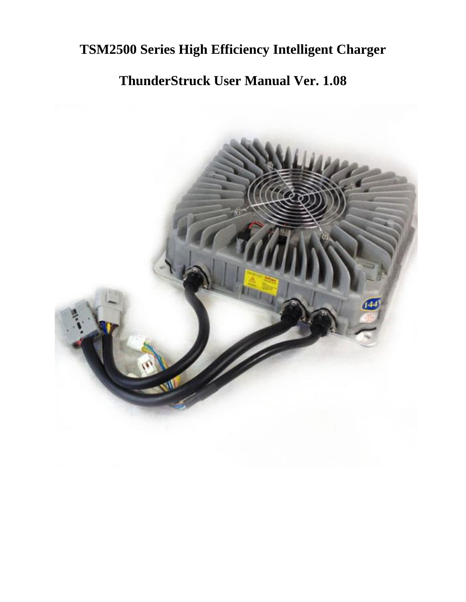# **TSM2500 Series High Efficiency Intelligent Charger**

# **ThunderStruck User Manual Ver. 1.08**

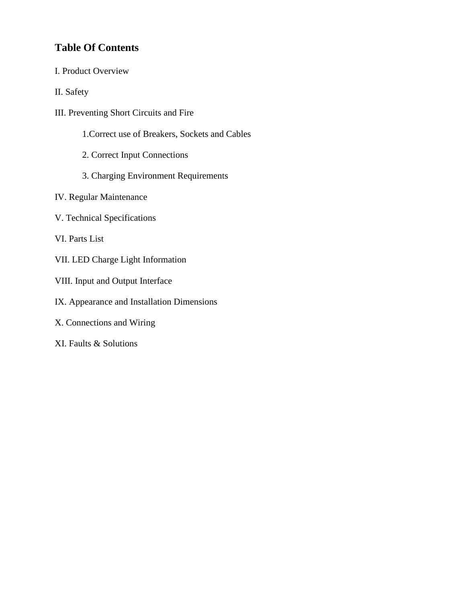### **Table Of Contents**

- I. Product Overview
- II. Safety
- III. Preventing Short Circuits and Fire
	- 1.Correct use of Breakers, Sockets and Cables
	- 2. Correct Input Connections
	- 3. Charging Environment Requirements
- IV. Regular Maintenance
- V. Technical Specifications
- VI. Parts List
- VII. LED Charge Light Information
- VIII. Input and Output Interface
- IX. Appearance and Installation Dimensions
- X. Connections and Wiring
- XI. Faults & Solutions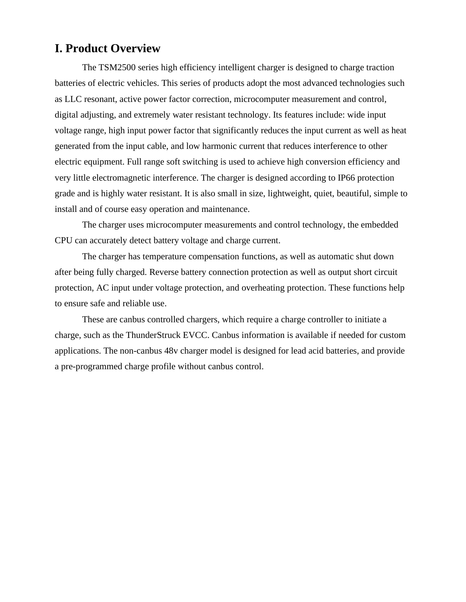### **I. Product Overview**

The TSM2500 series high efficiency intelligent charger is designed to charge traction batteries of electric vehicles. This series of products adopt the most advanced technologies such as LLC resonant, active power factor correction, microcomputer measurement and control, digital adjusting, and extremely water resistant technology. Its features include: wide input voltage range, high input power factor that significantly reduces the input current as well as heat generated from the input cable, and low harmonic current that reduces interference to other electric equipment. Full range soft switching is used to achieve high conversion efficiency and very little electromagnetic interference. The charger is designed according to IP66 protection grade and is highly water resistant. It is also small in size, lightweight, quiet, beautiful, simple to install and of course easy operation and maintenance.

The charger uses microcomputer measurements and control technology, the embedded CPU can accurately detect battery voltage and charge current.

The charger has temperature compensation functions, as well as automatic shut down after being fully charged. Reverse battery connection protection as well as output short circuit protection, AC input under voltage protection, and overheating protection. These functions help to ensure safe and reliable use.

These are canbus controlled chargers, which require a charge controller to initiate a charge, such as the ThunderStruck EVCC. Canbus information is available if needed for custom applications. The non-canbus 48v charger model is designed for lead acid batteries, and provide a pre-programmed charge profile without canbus control.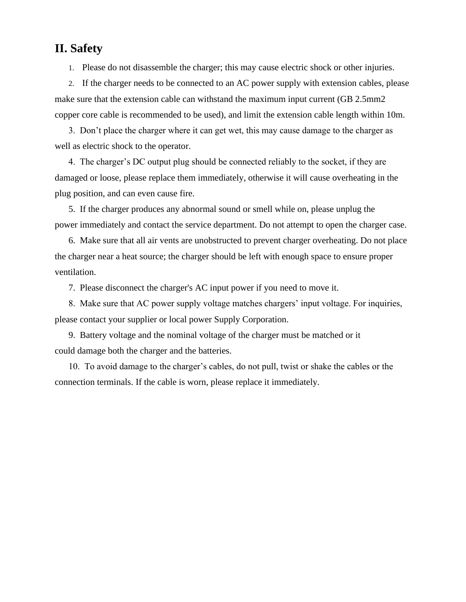### **II. Safety**

1. Please do not disassemble the charger; this may cause electric shock or other injuries.

2. If the charger needs to be connected to an AC power supply with extension cables, please make sure that the extension cable can withstand the maximum input current (GB 2.5mm2 copper core cable is recommended to be used), and limit the extension cable length within 10m.

 3. Don't place the charger where it can get wet, this may cause damage to the charger as well as electric shock to the operator.

 4. The charger's DC output plug should be connected reliably to the socket, if they are damaged or loose, please replace them immediately, otherwise it will cause overheating in the plug position, and can even cause fire.

 5. If the charger produces any abnormal sound or smell while on, please unplug the power immediately and contact the service department. Do not attempt to open the charger case.

 6. Make sure that all air vents are unobstructed to prevent charger overheating. Do not place the charger near a heat source; the charger should be left with enough space to ensure proper ventilation.

7. Please disconnect the charger's AC input power if you need to move it.

 8. Make sure that AC power supply voltage matches chargers' input voltage. For inquiries, please contact your supplier or local power Supply Corporation.

 9. Battery voltage and the nominal voltage of the charger must be matched or it could damage both the charger and the batteries.

 10. To avoid damage to the charger's cables, do not pull, twist or shake the cables or the connection terminals. If the cable is worn, please replace it immediately.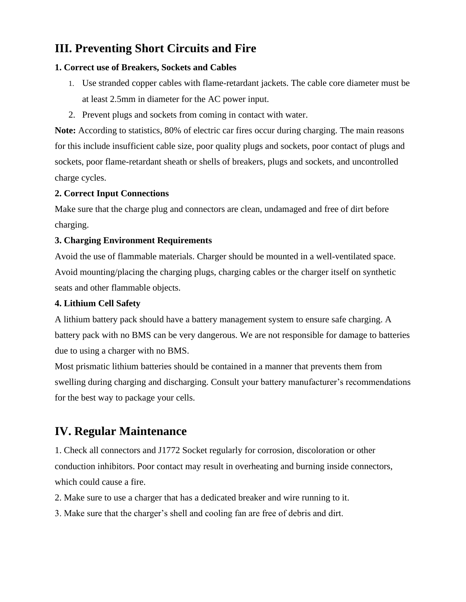### **III. Preventing Short Circuits and Fire**

#### **1. Correct use of Breakers, Sockets and Cables**

- 1. Use stranded copper cables with flame-retardant jackets. The cable core diameter must be at least 2.5mm in diameter for the AC power input.
- 2. Prevent plugs and sockets from coming in contact with water.

**Note:** According to statistics, 80% of electric car fires occur during charging. The main reasons for this include insufficient cable size, poor quality plugs and sockets, poor contact of plugs and sockets, poor flame-retardant sheath or shells of breakers, plugs and sockets, and uncontrolled charge cycles.

#### **2. Correct Input Connections**

Make sure that the charge plug and connectors are clean, undamaged and free of dirt before charging.

#### **3. Charging Environment Requirements**

Avoid the use of flammable materials. Charger should be mounted in a well-ventilated space. Avoid mounting/placing the charging plugs, charging cables or the charger itself on synthetic seats and other flammable objects.

#### **4. Lithium Cell Safety**

A lithium battery pack should have a battery management system to ensure safe charging. A battery pack with no BMS can be very dangerous. We are not responsible for damage to batteries due to using a charger with no BMS.

Most prismatic lithium batteries should be contained in a manner that prevents them from swelling during charging and discharging. Consult your battery manufacturer's recommendations for the best way to package your cells.

### **IV. Regular Maintenance**

1. Check all connectors and J1772 Socket regularly for corrosion, discoloration or other conduction inhibitors. Poor contact may result in overheating and burning inside connectors, which could cause a fire.

- 2. Make sure to use a charger that has a dedicated breaker and wire running to it.
- 3. Make sure that the charger's shell and cooling fan are free of debris and dirt.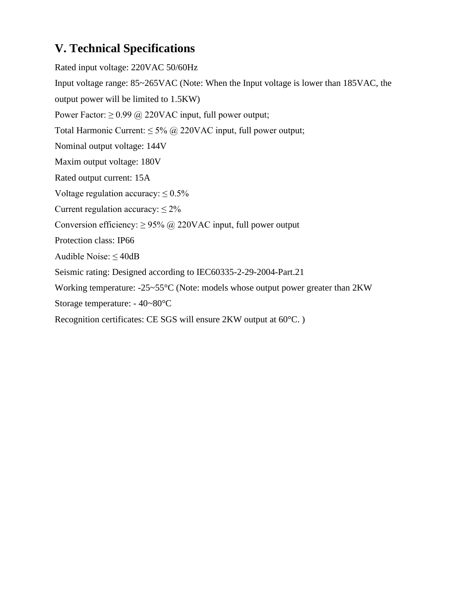## **V. Technical Specifications**

Rated input voltage: 220VAC 50/60Hz Input voltage range: 85~265VAC (Note: When the Input voltage is lower than 185VAC, the output power will be limited to 1.5KW) Power Factor:  $\geq 0.99$  @ 220VAC input, full power output; Total Harmonic Current:  $\leq 5\%$  @ 220VAC input, full power output; Nominal output voltage: 144V Maxim output voltage: 180V Rated output current: 15A Voltage regulation accuracy:  $\leq 0.5\%$ Current regulation accuracy:  $\leq 2\%$ Conversion efficiency:  $\geq$  95% @ 220VAC input, full power output Protection class: IP66 Audible Noise:  $\leq$  40dB Seismic rating: Designed according to IEC60335-2-29-2004-Part.21 Working temperature: -25~55°C (Note: models whose output power greater than 2KW Storage temperature: - 40~80°C Recognition certificates: CE SGS will ensure 2KW output at 60°C. )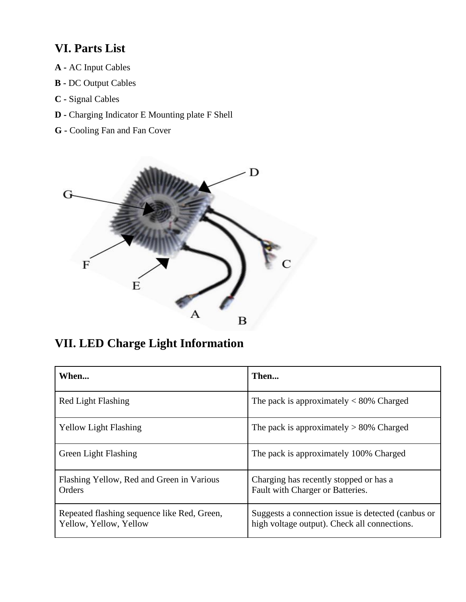## **VI. Parts List**

- **A -** AC Input Cables
- **B -** DC Output Cables
- **C -** Signal Cables
- **D -** Charging Indicator E Mounting plate F Shell
- **G -** Cooling Fan and Fan Cover



## **VII. LED Charge Light Information**

| When                                                                  | Then                                                                                               |
|-----------------------------------------------------------------------|----------------------------------------------------------------------------------------------------|
| Red Light Flashing                                                    | The pack is approximately $< 80\%$ Charged                                                         |
| <b>Yellow Light Flashing</b>                                          | The pack is approximately $> 80\%$ Charged                                                         |
| <b>Green Light Flashing</b>                                           | The pack is approximately 100% Charged                                                             |
| Flashing Yellow, Red and Green in Various<br>Orders                   | Charging has recently stopped or has a<br>Fault with Charger or Batteries.                         |
| Repeated flashing sequence like Red, Green,<br>Yellow, Yellow, Yellow | Suggests a connection issue is detected (canbus or<br>high voltage output). Check all connections. |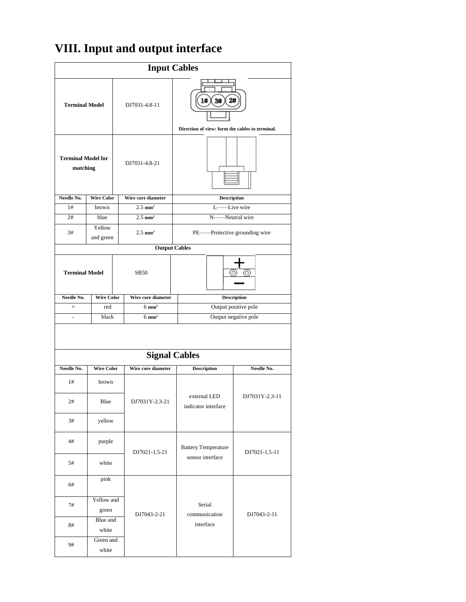# **VIII. Input and output interface**

| <b>Input Cables</b>                   |                     |  |                                                                                    |                                      |                |  |
|---------------------------------------|---------------------|--|------------------------------------------------------------------------------------|--------------------------------------|----------------|--|
| <b>Terminal Model</b>                 |                     |  | 3#<br>2#<br>1#<br>DJ7031-4.8-11<br>Direction of view: form the cables to terminal. |                                      |                |  |
| <b>Terminal Model for</b><br>matching |                     |  | DJ7031-4.8-21                                                                      |                                      |                |  |
| Needle No.                            | <b>Wire Color</b>   |  | Wire core diameter                                                                 | <b>Description</b>                   |                |  |
| 1#                                    | brown               |  | $2.5$ mm <sup>2</sup>                                                              | L                                    | Live wire      |  |
| 2#                                    | blue                |  | $2.5 \text{ mm}^2$                                                                 | N                                    | Neutral wire   |  |
| 3#                                    | Yellow<br>and green |  | $2.5$ mm <sup>2</sup>                                                              | -Protective grounding wire<br>$PE$ — |                |  |
|                                       |                     |  | <b>Output Cables</b>                                                               |                                      |                |  |
| <b>Terminal Model</b>                 |                     |  | <b>SB50</b>                                                                        | (O)                                  |                |  |
| Needle No.                            | <b>Wire Color</b>   |  | Wire core diameter                                                                 | <b>Description</b>                   |                |  |
| $\qquad \qquad +$                     | red                 |  | $6 \text{ mm}^2$                                                                   | Output positive pole                 |                |  |
|                                       | black               |  | $6 \text{ mm}^2$                                                                   | Output negative pole                 |                |  |
| <b>Signal Cables</b>                  |                     |  |                                                                                    |                                      |                |  |
| Needle No.                            | <b>Wire Color</b>   |  | Wire core diameter                                                                 | <b>Description</b>                   | Needle No.     |  |
| 1#                                    | brown               |  |                                                                                    |                                      |                |  |
| $2\#$                                 | Blue                |  | DJ7031Y-2.3-21                                                                     | external LED<br>indicator interface  | DJ7031Y-2.3-11 |  |
| 3#                                    | yellow              |  |                                                                                    |                                      |                |  |
| 4#                                    | purple              |  | DJ7021-1.5-21                                                                      | <b>Battery Temperature</b>           | DJ7021-1.5-11  |  |
| 5#                                    | white               |  |                                                                                    | sensor interface                     |                |  |
| 6#                                    | pink                |  |                                                                                    |                                      |                |  |
| 7#                                    | Yellow and<br>green |  | DJ7043-2-21                                                                        | Serial<br>communication              | DJ7043-2-11    |  |
| 8#                                    | Blue and<br>white   |  |                                                                                    | interface                            |                |  |
| 9#                                    | Green and<br>white  |  |                                                                                    |                                      |                |  |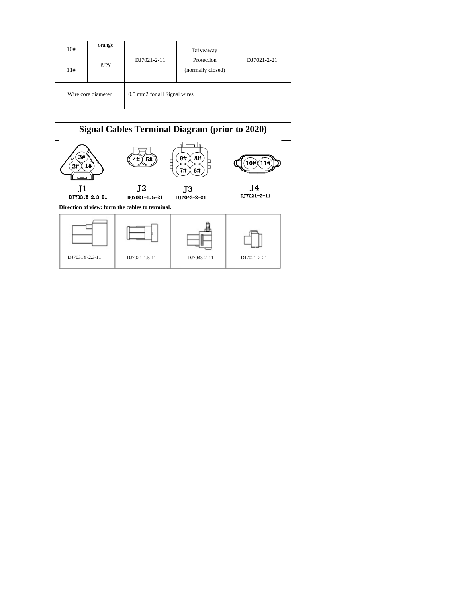| 10#                                                               | orange                                                | DJ7021-2-11                     | Driveaway                       |                   |  |
|-------------------------------------------------------------------|-------------------------------------------------------|---------------------------------|---------------------------------|-------------------|--|
| 11#                                                               | grey                                                  |                                 | Protection<br>(normally closed) | DJ7021-2-21       |  |
|                                                                   | Wire core diameter<br>0.5 mm2 for all Signal wires    |                                 |                                 |                   |  |
|                                                                   |                                                       |                                 |                                 |                   |  |
|                                                                   | <b>Signal Cables Terminal Diagram (prior to 2020)</b> |                                 |                                 |                   |  |
| 3#<br>2#                                                          | 1#                                                    | 5#<br>□<br>Ē                    | 8#<br>9#<br>7#<br>6#            | .0#)              |  |
| J1                                                                |                                                       | J <sub>2</sub><br>DJ7021-1.5-21 | J3<br>D.T7043-2-21              | T4<br>DJ7021-2-11 |  |
| DJ7031Y-2.3-21<br>Direction of view: form the cables to terminal. |                                                       |                                 |                                 |                   |  |
|                                                                   |                                                       |                                 |                                 |                   |  |
| DJ7031Y-2.3-11                                                    |                                                       | DJ7021-1.5-11                   | DJ7043-2-11                     | DJ7021-2-21       |  |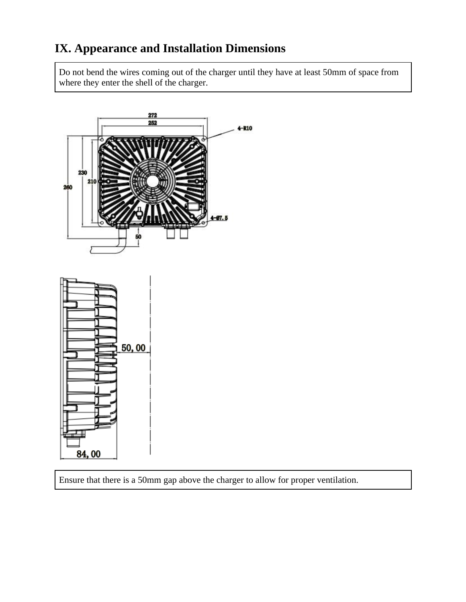## **IX. Appearance and Installation Dimensions**

Do not bend the wires coming out of the charger until they have at least 50mm of space from where they enter the shell of the charger.



Ensure that there is a 50mm gap above the charger to allow for proper ventilation.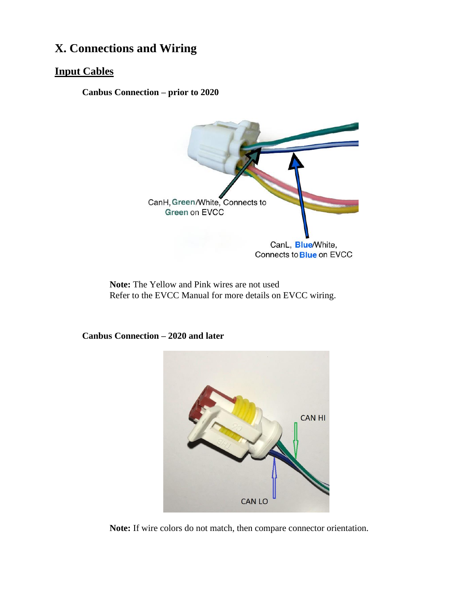### **X. Connections and Wiring**

#### **Input Cables**

**Canbus Connection – prior to 2020**



**Note:** The Yellow and Pink wires are not used Refer to the EVCC Manual for more details on EVCC wiring.

**Canbus Connection – 2020 and later**



**Note:** If wire colors do not match, then compare connector orientation.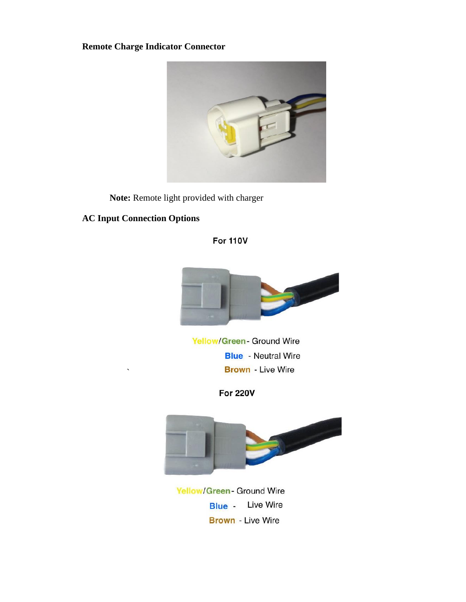**Remote Charge Indicator Connector**



**Note:** Remote light provided with charger

#### **AC Input Connection Options**

`

#### **For 110V**



**Yellow/Green- Ground Wire Blue** - Neutral Wire **Brown** - Live Wire

**For 220V** 



**Yellow/Green- Ground Wire Blue** - Live Wire **Brown** - Live Wire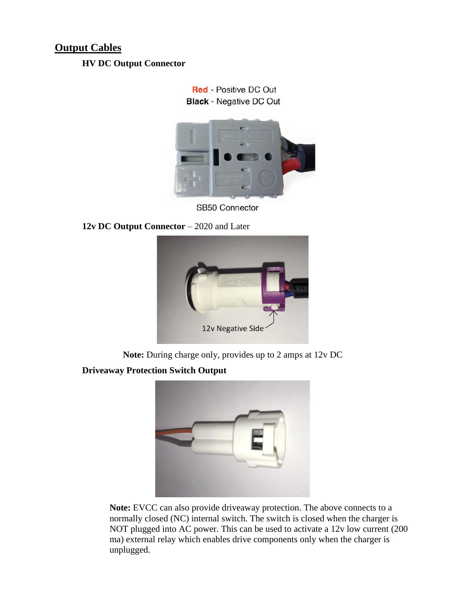### **Output Cables**

#### **HV DC Output Connector**

**Red - Positive DC Out Black - Negative DC Out** 



SB50 Connector

**12v DC Output Connector** – 2020 and Later



**Note:** During charge only, provides up to 2 amps at 12v DC

### **Driveaway Protection Switch Output**



**Note:** EVCC can also provide driveaway protection. The above connects to a normally closed (NC) internal switch. The switch is closed when the charger is NOT plugged into AC power. This can be used to activate a 12v low current (200 ma) external relay which enables drive components only when the charger is unplugged.